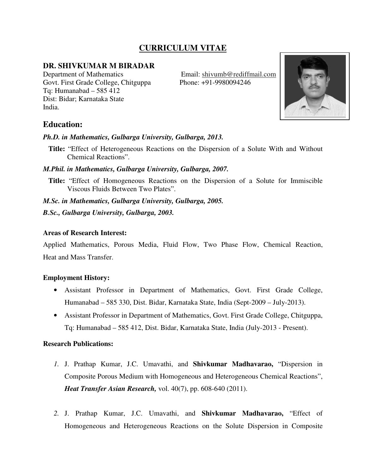# **CURRICULUM VITAE**

# **DR. SHIVKUMAR M BIRADAR**

Department of Mathematics Email: shivumb@rediffmail.com Govt. First Grade College, Chitguppa Phone: +91-9980094246 Tq: Humanabad – 585 412 Dist: Bidar; Karnataka State India.



# **Education:**

#### *Ph.D. in Mathematics, Gulbarga University, Gulbarga, 2013.*

**Title:** "Effect of Heterogeneous Reactions on the Dispersion of a Solute With and Without Chemical Reactions".

#### *M.Phil. in Mathematics, Gulbarga University, Gulbarga, 2007.*

**Title:** "Effect of Homogeneous Reactions on the Dispersion of a Solute for Immiscible Viscous Fluids Between Two Plates".

*M.Sc. in Mathematics, Gulbarga University, Gulbarga, 2005.* 

*B.Sc., Gulbarga University, Gulbarga, 2003.* 

### **Areas of Research Interest:**

Applied Mathematics, Porous Media, Fluid Flow, Two Phase Flow, Chemical Reaction, Heat and Mass Transfer.

# **Employment History:**

- Assistant Professor in Department of Mathematics, Govt. First Grade College, Humanabad – 585 330, Dist. Bidar, Karnataka State, India (Sept-2009 – July-2013).
- Assistant Professor in Department of Mathematics, Govt. First Grade College, Chitguppa, Tq: Humanabad – 585 412, Dist. Bidar, Karnataka State, India (July-2013 - Present).

#### **Research Publications:**

- *1.* J. Prathap Kumar, J.C. Umavathi, and **Shivkumar Madhavarao,** "Dispersion in Composite Porous Medium with Homogeneous and Heterogeneous Chemical Reactions", *Heat Transfer Asian Research,* vol. 40(7), pp. 608-640 (2011).
- *2.* J. Prathap Kumar, J.C. Umavathi, and **Shivkumar Madhavarao,** "Effect of Homogeneous and Heterogeneous Reactions on the Solute Dispersion in Composite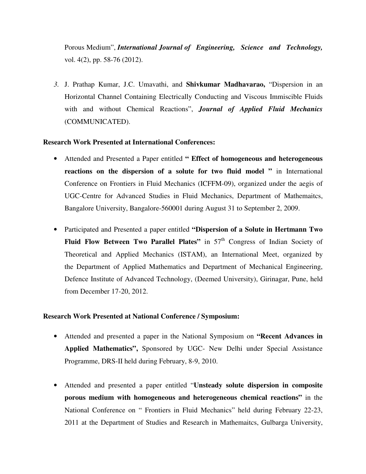Porous Medium", *International Journal of Engineering, Science and Technology,* vol. 4(2), pp. 58-76 (2012).

*3.* J. Prathap Kumar, J.C. Umavathi, and **Shivkumar Madhavarao,** "Dispersion in an Horizontal Channel Containing Electrically Conducting and Viscous Immiscible Fluids with and without Chemical Reactions", *Journal of Applied Fluid Mechanics*  (COMMUNICATED).

#### **Research Work Presented at International Conferences:**

- Attended and Presented a Paper entitled **" Effect of homogeneous and heterogeneous reactions on the dispersion of a solute for two fluid model "** in International Conference on Frontiers in Fluid Mechanics (ICFFM-09), organized under the aegis of UGC-Centre for Advanced Studies in Fluid Mechanics, Department of Mathemaitcs, Bangalore University, Bangalore-560001 during August 31 to September 2, 2009.
- Participated and Presented a paper entitled **"Dispersion of a Solute in Hertmann Two Fluid Flow Between Two Parallel Plates"** in 57<sup>th</sup> Congress of Indian Society of Theoretical and Applied Mechanics (ISTAM), an International Meet, organized by the Department of Applied Mathematics and Department of Mechanical Engineering, Defence Institute of Advanced Technology, (Deemed University), Girinagar, Pune, held from December 17-20, 2012.

# **Research Work Presented at National Conference / Symposium:**

- Attended and presented a paper in the National Symposium on **"Recent Advances in Applied Mathematics",** Sponsored by UGC- New Delhi under Special Assistance Programme, DRS-II held during February, 8-9, 2010.
- Attended and presented a paper entitled "**Unsteady solute dispersion in composite porous medium with homogeneous and heterogeneous chemical reactions"** in the National Conference on " Frontiers in Fluid Mechanics" held during February 22-23, 2011 at the Department of Studies and Research in Mathemaitcs, Gulbarga University,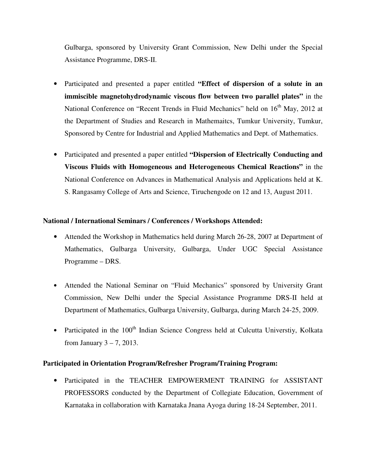Gulbarga, sponsored by University Grant Commission, New Delhi under the Special Assistance Programme, DRS-II.

- Participated and presented a paper entitled **"Effect of dispersion of a solute in an immiscible magnetohydrodynamic viscous flow between two parallel plates"** in the National Conference on "Recent Trends in Fluid Mechanics" held on 16<sup>th</sup> May, 2012 at the Department of Studies and Research in Mathemaitcs, Tumkur University, Tumkur, Sponsored by Centre for Industrial and Applied Mathematics and Dept. of Mathematics.
- Participated and presented a paper entitled **"Dispersion of Electrically Conducting and Viscous Fluids with Homogeneous and Heterogeneous Chemical Reactions"** in the National Conference on Advances in Mathematical Analysis and Applications held at K. S. Rangasamy College of Arts and Science, Tiruchengode on 12 and 13, August 2011.

### **National / International Seminars / Conferences / Workshops Attended:**

- Attended the Workshop in Mathematics held during March 26-28, 2007 at Department of Mathematics, Gulbarga University, Gulbarga, Under UGC Special Assistance Programme – DRS.
- Attended the National Seminar on "Fluid Mechanics" sponsored by University Grant Commission, New Delhi under the Special Assistance Programme DRS-II held at Department of Mathematics, Gulbarga University, Gulbarga, during March 24-25, 2009.
- Participated in the  $100<sup>th</sup>$  Indian Science Congress held at Culcutta Universtiy, Kolkata from January 3 – 7, 2013.

# **Participated in Orientation Program/Refresher Program/Training Program:**

• Participated in the TEACHER EMPOWERMENT TRAINING for ASSISTANT PROFESSORS conducted by the Department of Collegiate Education, Government of Karnataka in collaboration with Karnataka Jnana Ayoga during 18-24 September, 2011.